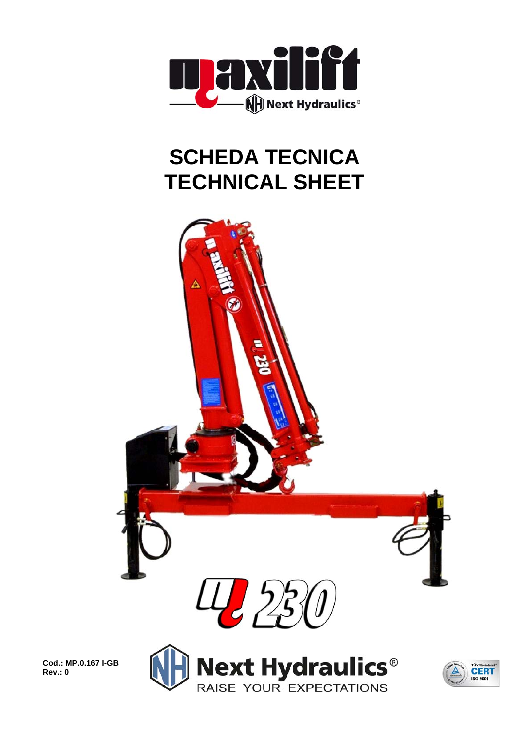

## **SCHEDA TECNICA TECHNICAL SHEET**



**Cod.: MP.0.167 I-GB Rev.: 0** 



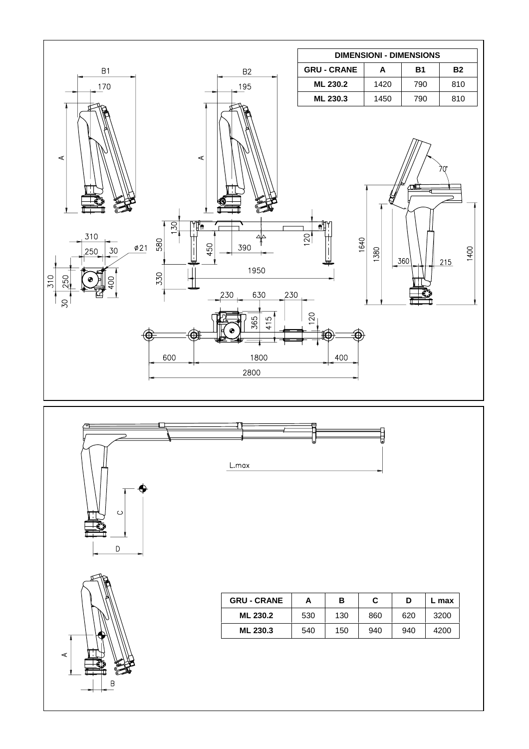





 $\circ$ 

٧  $\mathsf D$ 

| <b>GRU - CRANE</b> | А   | в   | С   | D   | L max |
|--------------------|-----|-----|-----|-----|-------|
| ML 230.2           | 530 | 130 | 860 | 620 | 3200  |
| ML 230.3           | 540 | 150 | 940 | 940 | 4200  |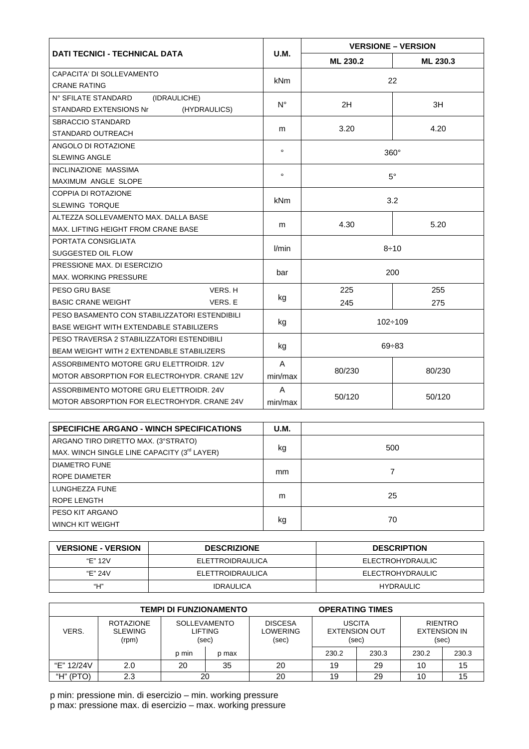|                                                  |             | <b>VERSIONE - VERSION</b> |          |  |  |
|--------------------------------------------------|-------------|---------------------------|----------|--|--|
| <b>DATI TECNICI - TECHNICAL DATA</b>             | <b>U.M.</b> | ML 230.2                  | ML 230.3 |  |  |
| CAPACITA' DI SOLLEVAMENTO                        |             |                           |          |  |  |
| <b>CRANE RATING</b>                              | kNm         | 22                        |          |  |  |
| N° SFILATE STANDARD<br>(IDRAULICHE)              |             |                           |          |  |  |
| <b>STANDARD EXTENSIONS Nr</b><br>(HYDRAULICS)    | $N^{\circ}$ | 2H                        | 3H       |  |  |
| <b>SBRACCIO STANDARD</b>                         |             |                           |          |  |  |
| STANDARD OUTREACH                                | m           | 3.20                      | 4.20     |  |  |
| ANGOLO DI ROTAZIONE                              |             |                           |          |  |  |
| <b>SLEWING ANGLE</b>                             | $\circ$     | $360^\circ$               |          |  |  |
| <b>INCLINAZIONE MASSIMA</b>                      |             | $5^{\circ}$               |          |  |  |
| MAXIMUM ANGLE SLOPE                              |             |                           |          |  |  |
| COPPIA DI ROTAZIONE                              |             | 3.2                       |          |  |  |
| <b>SLEWING TORQUE</b>                            |             |                           |          |  |  |
| ALTEZZA SOLLEVAMENTO MAX. DALLA BASE             |             | 4.30                      | 5.20     |  |  |
| MAX. LIFTING HEIGHT FROM CRANE BASE              | m           |                           |          |  |  |
| PORTATA CONSIGLIATA                              | l/min       | $8 + 10$                  |          |  |  |
| SUGGESTED OIL FLOW                               |             |                           |          |  |  |
| PRESSIONE MAX. DI ESERCIZIO                      |             | 200                       |          |  |  |
| <b>MAX. WORKING PRESSURE</b>                     | bar         |                           |          |  |  |
| PESO GRU BASE<br>VERS. H                         |             | 225                       | 255      |  |  |
| <b>BASIC CRANE WEIGHT</b><br>VERS. E             | kg          | 245                       | 275      |  |  |
| PESO BASAMENTO CON STABILIZZATORI ESTENDIBILI    |             | $102 \div 109$            |          |  |  |
| BASE WEIGHT WITH EXTENDABLE STABILIZERS          |             |                           |          |  |  |
| PESO TRAVERSA 2 STABILIZZATORI ESTENDIBILI       |             | $69 + 83$                 |          |  |  |
| <b>BEAM WEIGHT WITH 2 EXTENDABLE STABILIZERS</b> |             |                           |          |  |  |
| ASSORBIMENTO MOTORE GRU ELETTROIDR, 12V          |             |                           | 80/230   |  |  |
| MOTOR ABSORPTION FOR ELECTROHYDR. CRANE 12V      |             | 80/230                    |          |  |  |
| ASSORBIMENTO MOTORE GRU ELETTROIDR. 24V          | A           |                           | 50/120   |  |  |
| MOTOR ABSORPTION FOR ELECTROHYDR. CRANE 24V      | min/max     | 50/120                    |          |  |  |

| <b>SPECIFICHE ARGANO - WINCH SPECIFICATIONS</b> | <b>U.M.</b> |     |
|-------------------------------------------------|-------------|-----|
| ARGANO TIRO DIRETTO MAX. (3°STRATO)             |             |     |
| MAX. WINCH SINGLE LINE CAPACITY (3rd LAYER)     | kg          | 500 |
| <b>DIAMETRO FUNE</b>                            |             |     |
| ROPE DIAMETER                                   | mm          |     |
| LUNGHEZZA FUNE                                  |             |     |
| ROPE LENGTH                                     | m           | 25  |
| PESO KIT ARGANO                                 |             |     |
| <b>WINCH KIT WEIGHT</b>                         | kg          | 70  |

| <b>VERSIONE - VERSION</b> | <b>DESCRIZIONE</b> | <b>DESCRIPTION</b> |  |  |
|---------------------------|--------------------|--------------------|--|--|
| "F" 12V                   | ELETTROIDRAULICA   | ELECTROHYDRAULIC   |  |  |
| "F" 24V                   | ELETTROIDRAULICA   | ELECTROHYDRAULIC   |  |  |
| "Н"                       | <b>IDRAULICA</b>   | <b>HYDRAULIC</b>   |  |  |

| <b>TEMPI DI FUNZIONAMENTO</b> |                                             |                                                |       | <b>OPERATING TIMES</b>              |                                                |       |                                         |       |
|-------------------------------|---------------------------------------------|------------------------------------------------|-------|-------------------------------------|------------------------------------------------|-------|-----------------------------------------|-------|
| VERS.                         | <b>ROTAZIONE</b><br><b>SLEWING</b><br>(rpm) | <b>SOLLEVAMENTO</b><br><b>LIFTING</b><br>(sec) |       | <b>DISCESA</b><br>LOWERING<br>(sec) | <b>USCITA</b><br><b>EXTENSION OUT</b><br>(sec) |       | RIENTRO<br><b>EXTENSION IN</b><br>(sec) |       |
|                               |                                             | p min                                          | p max |                                     | 230.2                                          | 230.3 | 230.2                                   | 230.3 |
| "E" 12/24V                    | 2.0                                         | 20                                             | 35    | 20                                  | 19                                             | 29    | 10                                      | 15    |
| "H" (PTO)                     | 2.3                                         | 20                                             |       | 20                                  | 19                                             | 29    | 10                                      | 15    |

p min: pressione min. di esercizio – min. working pressure p max: pressione max. di esercizio – max. working pressure